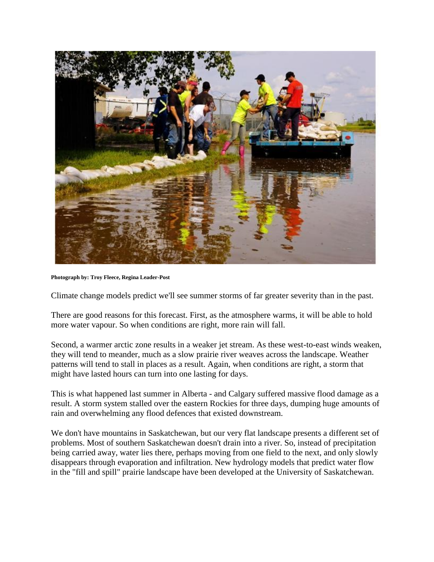

**Photograph by: Troy Fleece, Regina Leader-Post**

Climate change models predict we'll see summer storms of far greater severity than in the past.

There are good reasons for this forecast. First, as the atmosphere warms, it will be able to hold more water vapour. So when conditions are right, more rain will fall.

Second, a warmer arctic zone results in a weaker jet stream. As these west-to-east winds weaken, they will tend to meander, much as a slow prairie river weaves across the landscape. Weather patterns will tend to stall in places as a result. Again, when conditions are right, a storm that might have lasted hours can turn into one lasting for days.

This is what happened last summer in Alberta - and Calgary suffered massive flood damage as a result. A storm system stalled over the eastern Rockies for three days, dumping huge amounts of rain and overwhelming any flood defences that existed downstream.

We don't have mountains in Saskatchewan, but our very flat landscape presents a different set of problems. Most of southern Saskatchewan doesn't drain into a river. So, instead of precipitation being carried away, water lies there, perhaps moving from one field to the next, and only slowly disappears through evaporation and infiltration. New hydrology models that predict water flow in the "fill and spill" prairie landscape have been developed at the University of Saskatchewan.